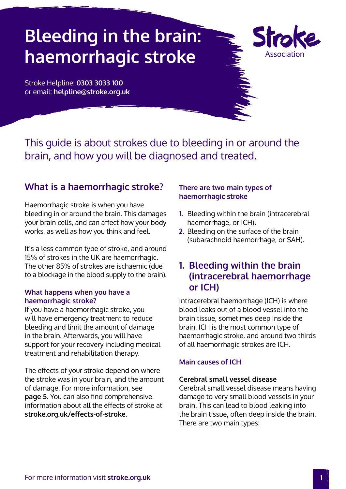# **Bleeding in the brain: haemorrhagic stroke**



Stroke Helpline: **0303 3033 100** or email: **helpline@stroke.org.uk**

This guide is about strokes due to bleeding in or around the brain, and how you will be diagnosed and treated.

### **What is a haemorrhagic stroke?**

Haemorrhagic stroke is when you have bleeding in or around the brain. This damages your brain cells, and can affect how your body works, as well as how you think and feel.

It's a less common type of stroke, and around 15% of strokes in the UK are haemorrhagic. The other 85% of strokes are ischaemic (due to a blockage in the blood supply to the brain).

### **What happens when you have a haemorrhagic stroke?**

If you have a haemorrhagic stroke, you will have emergency treatment to reduce bleeding and limit the amount of damage in the brain. Afterwards, you will have support for your recovery including medical treatment and rehabilitation therapy.

The effects of your stroke depend on where the stroke was in your brain, and the amount of damage. For more information, see **[page 5](#page-4-0)**. You can also find comprehensive information about all the effects of stroke at **[stroke.org.uk/effects-of-stroke](http://www.stroke.org.uk/effects-of-stroke)**.

### **There are two main types of haemorrhagic stroke**

- **1.** Bleeding within the brain (intracerebral haemorrhage, or ICH).
- **2.** Bleeding on the surface of the brain (subarachnoid haemorrhage, or SAH).

### **1. Bleeding within the brain (intracerebral haemorrhage or ICH)**

Intracerebral haemorrhage (ICH) is where blood leaks out of a blood vessel into the brain tissue, sometimes deep inside the brain. ICH is the most common type of haemorrhagic stroke, and around two thirds of all haemorrhagic strokes are ICH.

### **Main causes of ICH**

### **Cerebral small vessel disease**

Cerebral small vessel disease means having damage to very small blood vessels in your brain. This can lead to blood leaking into the brain tissue, often deep inside the brain. There are two main types: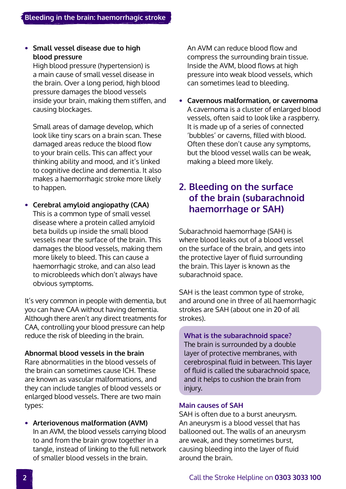### **• Small vessel disease due to high blood pressure**

High blood pressure (hypertension) is a main cause of small vessel disease in the brain. Over a long period, high blood pressure damages the blood vessels inside your brain, making them stiffen, and causing blockages.

Small areas of damage develop, which look like tiny scars on a brain scan. These damaged areas reduce the blood flow to your brain cells. This can affect your thinking ability and mood, and it's linked to cognitive decline and dementia. It also makes a haemorrhagic stroke more likely to happen.

**• Cerebral amyloid angiopathy (CAA)** This is a common type of small vessel disease where a protein called amyloid beta builds up inside the small blood vessels near the surface of the brain. This damages the blood vessels, making them more likely to bleed. This can cause a haemorrhagic stroke, and can also lead to microbleeds which don't always have obvious symptoms.

It's very common in people with dementia, but you can have CAA without having dementia. Although there aren't any direct treatments for CAA, controlling your blood pressure can help reduce the risk of bleeding in the brain.

### **Abnormal blood vessels in the brain**

Rare abnormalities in the blood vessels of the brain can sometimes cause ICH. These are known as vascular malformations, and they can include tangles of blood vessels or enlarged blood vessels. There are two main types:

**• Arteriovenous malformation (AVM)**  In an AVM, the blood vessels carrying blood to and from the brain grow together in a tangle, instead of linking to the full network of smaller blood vessels in the brain.

An AVM can reduce blood flow and compress the surrounding brain tissue. Inside the AVM, blood flows at high pressure into weak blood vessels, which can sometimes lead to bleeding.

**• Cavernous malformation, or cavernoma** A cavernoma is a cluster of enlarged blood vessels, often said to look like a raspberry. It is made up of a series of connected 'bubbles' or caverns, filled with blood. Often these don't cause any symptoms, but the blood vessel walls can be weak, making a bleed more likely.

### **2. Bleeding on the surface of the brain (subarachnoid haemorrhage or SAH)**

Subarachnoid haemorrhage (SAH) is where blood leaks out of a blood vessel on the surface of the brain, and gets into the protective layer of fluid surrounding the brain. This layer is known as the subarachnoid space.

SAH is the least common type of stroke, and around one in three of all haemorrhagic strokes are SAH (about one in 20 of all strokes).

**What is the subarachnoid space?** The brain is surrounded by a double layer of protective membranes, with cerebrospinal fluid in between. This layer of fluid is called the subarachnoid space, and it helps to cushion the brain from injury.

### **Main causes of SAH**

SAH is often due to a burst aneurysm. An aneurysm is a blood vessel that has ballooned out. The walls of an aneurysm are weak, and they sometimes burst, causing bleeding into the layer of fluid around the brain.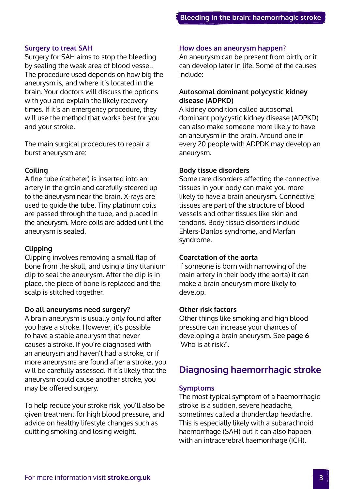### **Surgery to treat SAH**

Surgery for SAH aims to stop the bleeding by sealing the weak area of blood vessel. The procedure used depends on how big the aneurysm is, and where it's located in the brain. Your doctors will discuss the options with you and explain the likely recovery times. If it's an emergency procedure, they will use the method that works best for you and your stroke.

The main surgical procedures to repair a burst aneurysm are:

### **Coiling**

A fine tube (catheter) is inserted into an artery in the groin and carefully steered up to the aneurysm near the brain. X-rays are used to guide the tube. Tiny platinum coils are passed through the tube, and placed in the aneurysm. More coils are added until the aneurysm is sealed.

#### **Clipping**

Clipping involves removing a small flap of bone from the skull, and using a tiny titanium clip to seal the aneurysm. After the clip is in place, the piece of bone is replaced and the scalp is stitched together.

#### **Do all aneurysms need surgery?**

A brain aneurysm is usually only found after you have a stroke. However, it's possible to have a stable aneurysm that never causes a stroke. If you're diagnosed with an aneurysm and haven't had a stroke, or if more aneurysms are found after a stroke, you will be carefully assessed. If it's likely that the aneurysm could cause another stroke, you may be offered surgery.

To help reduce your stroke risk, you'll also be given treatment for high blood pressure, and advice on healthy lifestyle changes such as quitting smoking and losing weight.

#### **How does an aneurysm happen?**

An aneurysm can be present from birth, or it can develop later in life. Some of the causes include:

### **Autosomal dominant polycystic kidney disease (ADPKD)**

A kidney condition called autosomal dominant polycystic kidney disease (ADPKD) can also make someone more likely to have an aneurysm in the brain. Around one in every 20 people with ADPDK may develop an aneurysm.

#### **Body tissue disorders**

Some rare disorders affecting the connective tissues in your body can make you more likely to have a brain aneurysm. Connective tissues are part of the structure of blood vessels and other tissues like skin and tendons. Body tissue disorders include Ehlers-Danlos syndrome, and Marfan syndrome.

#### **Coarctation of the aorta**

If someone is born with narrowing of the main artery in their body (the aorta) it can make a brain aneurysm more likely to develop.

#### **Other risk factors**

Other things like smoking and high blood pressure can increase your chances of developing a brain aneurysm. See **[page 6](#page-5-0)**  'Who is at risk?'.

### **Diagnosing haemorrhagic stroke**

#### **Symptoms**

The most typical symptom of a haemorrhagic stroke is a sudden, severe headache, sometimes called a thunderclap headache. This is especially likely with a subarachnoid haemorrhage (SAH) but it can also happen with an intracerebral haemorrhage (ICH).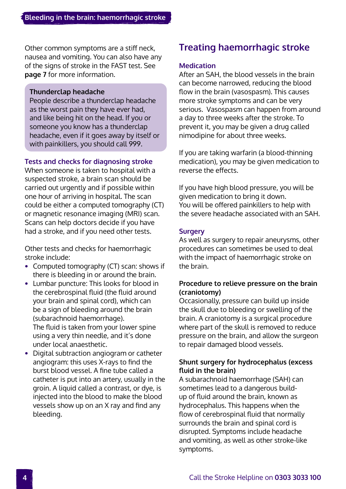Other common symptoms are a stiff neck, nausea and vomiting. You can also have any of the signs of stroke in the FAST test. See **[page 7](#page-6-0)** for more information.

### **Thunderclap headache**

People describe a thunderclap headache as the worst pain they have ever had, and like being hit on the head. If you or someone you know has a thunderclap headache, even if it goes away by itself or with painkillers, you should call 999.

### **Tests and checks for diagnosing stroke**

When someone is taken to hospital with a suspected stroke, a brain scan should be carried out urgently and if possible within one hour of arriving in hospital. The scan could be either a computed tomography (CT) or magnetic resonance imaging (MRI) scan. Scans can help doctors decide if you have had a stroke, and if you need other tests.

Other tests and checks for haemorrhagic stroke include:

- **•** Computed tomography (CT) scan: shows if there is bleeding in or around the brain.
- **•** Lumbar puncture: This looks for blood in the cerebrospinal fluid (the fluid around your brain and spinal cord), which can be a sign of bleeding around the brain (subarachnoid haemorrhage). The fluid is taken from your lower spine using a very thin needle, and it's done under local anaesthetic.
- **•** Digital subtraction angiogram or catheter angiogram: this uses X-rays to find the burst blood vessel. A fine tube called a catheter is put into an artery, usually in the groin. A liquid called a contrast, or dye, is injected into the blood to make the blood vessels show up on an X ray and find any bleeding.

## **Treating haemorrhagic stroke**

### **Medication**

After an SAH, the blood vessels in the brain can become narrowed, reducing the blood flow in the brain (vasospasm). This causes more stroke symptoms and can be very serious. Vasospasm can happen from around a day to three weeks after the stroke. To prevent it, you may be given a drug called nimodipine for about three weeks.

If you are taking warfarin (a blood-thinning medication), you may be given medication to reverse the effects.

If you have high blood pressure, you will be given medication to bring it down. You will be offered painkillers to help with the severe headache associated with an SAH.

### **Surgery**

As well as surgery to repair aneurysms, other procedures can sometimes be used to deal with the impact of haemorrhagic stroke on the brain.

### **Procedure to relieve pressure on the brain (craniotomy)**

Occasionally, pressure can build up inside the skull due to bleeding or swelling of the brain. A craniotomy is a surgical procedure where part of the skull is removed to reduce pressure on the brain, and allow the surgeon to repair damaged blood vessels.

### **Shunt surgery for hydrocephalus (excess fluid in the brain)**

A subarachnoid haemorrhage (SAH) can sometimes lead to a dangerous buildup of fluid around the brain, known as hydrocephalus. This happens when the flow of cerebrospinal fluid that normally surrounds the brain and spinal cord is disrupted. Symptoms include headache and vomiting, as well as other stroke-like symptoms.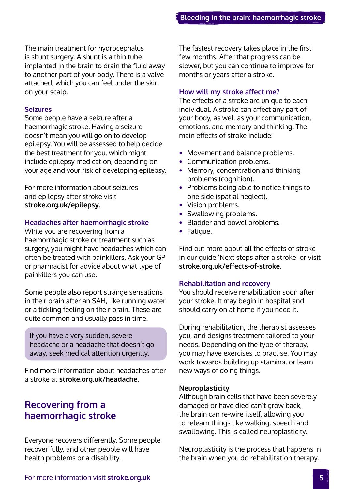<span id="page-4-0"></span>The main treatment for hydrocephalus is shunt surgery. A shunt is a thin tube implanted in the brain to drain the fluid away to another part of your body. There is a valve attached, which you can feel under the skin on your scalp.

#### **Seizures**

Some people have a seizure after a haemorrhagic stroke. Having a seizure doesn't mean you will go on to develop epilepsy. You will be assessed to help decide the best treatment for you, which might include epilepsy medication, depending on your age and your risk of developing epilepsy.

For more information about seizures and epilepsy after stroke visit **[stroke.org.uk/epilepsy](http://www.stroke.org.uk/epilepsy)**.

### **Headaches after haemorrhagic stroke**

While you are recovering from a haemorrhagic stroke or treatment such as surgery, you might have headaches which can often be treated with painkillers. Ask your GP or pharmacist for advice about what type of painkillers you can use.

Some people also report strange sensations in their brain after an SAH, like running water or a tickling feeling on their brain. These are quite common and usually pass in time.

If you have a very sudden, severe headache or a headache that doesn't go away, seek medical attention urgently.

Find more information about headaches after a stroke at **stroke.org.uk/headache**.

### **Recovering from a haemorrhagic stroke**

Everyone recovers differently. Some people recover fully, and other people will have health problems or a disability.

The fastest recovery takes place in the first few months. After that progress can be slower, but you can continue to improve for months or years after a stroke.

#### **How will my stroke affect me?**

The effects of a stroke are unique to each individual. A stroke can affect any part of your body, as well as your communication, emotions, and memory and thinking. The main effects of stroke include:

- **•** Movement and balance problems.
- **•** Communication problems.
- **•** Memory, concentration and thinking problems (cognition).
- **•** Problems being able to notice things to one side (spatial neglect).
- **•** Vision problems.
- **•** [Sw](https://www.stroke.org.uk/effects-of-stroke/physical-effects-of-stroke/swallowing-problems)allowing problems.
- **•** Bladder and bowel problems.
- **•** Fatigue.

Find out more about all the effects of stroke in our guide 'Next steps after a stroke' or visit **[stroke.org.uk/effects-of-stroke](http://www.stroke.org.uk/effects-of-stroke)**.

#### **Rehabilitation and recovery**

You should receive rehabilitation soon after your stroke. It may begin in hospital and should carry on at home if you need it.

During rehabilitation, the therapist assesses you, and designs treatment tailored to your needs. Depending on the type of therapy, you may have exercises to practise. You may work towards building up stamina, or learn new ways of doing things.

#### **Neuroplasticity**

Although brain cells that have been severely damaged or have died can't grow back, the brain can re-wire itself, allowing you to relearn things like walking, speech and swallowing. This is called neuroplasticity.

Neuroplasticity is the process that happens in the brain when you do rehabilitation therapy.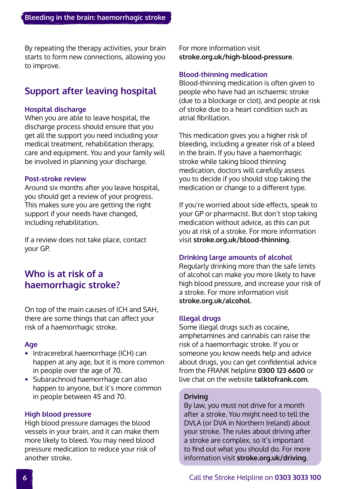<span id="page-5-0"></span>By repeating the therapy activities, your brain starts to form new connections, allowing you to improve.

### **Support after leaving hospital**

### **Hospital discharge**

When you are able to leave hospital, the discharge process should ensure that you get all the support you need including your medical treatment, rehabilitation therapy, care and equipment. You and your family will be involved in planning your discharge.

### **Post-stroke review**

Around six months after you leave hospital, you should get a review of your progress. This makes sure you are getting the right support if your needs have changed, including rehabilitation.

If a review does not take place, contact your GP.

### **Who is at risk of a haemorrhagic stroke?**

On top of the main causes of ICH and SAH, there are some things that can affect your risk of a haemorrhagic stroke.

### **Age**

- **•** Intracerebral haemorrhage (ICH) can happen at any age, but it is more common in people over the age of 70.
- **•** Subarachnoid haemorrhage can also happen to anyone, but it's more common in people between 45 and 70.

### **High blood pressure**

High blood pressure damages the blood vessels in your brain, and it can make them more likely to bleed. You may need blood pressure medication to reduce your risk of another stroke.

For more information visit **[stroke.org.uk/high-blood-pressure](http://www.stroke.org.uk/high-blood-pressure)**.

### **Blood-thinning medication**

Blood-thinning medication is often given to people who have had an ischaemic stroke (due to a blockage or clot), and people at risk of stroke due to a heart condition such as atrial fibrillation.

This medication gives you a higher risk of bleeding, including a greater risk of a bleed in the brain. If you have a haemorrhagic stroke while taking blood thinning medication, doctors will carefully assess you to decide if you should stop taking the medication or change to a different type.

If you're worried about side effects, speak to your GP or pharmacist. But don't stop taking medication without advice, as this can put you at risk of a stroke. For more information visit **[stroke.org.uk/blood-thinning](http://www.stroke.org.uk/blood-thinning)**.

### **Drinking large amounts of alcohol**

Regularly drinking more than the safe limits of alcohol can make you more likely to have high blood pressure, and increase your risk of a stroke. For more information visit **[stroke.org.uk/alcohol](http://www.stroke.org.uk/alcohol)**.

### **Illegal drugs**

Some illegal drugs such as cocaine, amphetamines and cannabis can raise the risk of a haemorrhagic stroke. If you or someone you know needs help and advice about drugs, you can get confidential advice from the FRANK helpline **0300 123 6600** or live chat on the website **[talktofrank.com](http://www.talktofrank.com)**.

### **Driving**

By law, you must not drive for a month after a stroke. You might need to tell the DVLA (or DVA in Northern Ireland) about your stroke. The rules about driving after a stroke are complex, so it's important to find out what you should do. For more information visit **stroke.org.uk/driving**.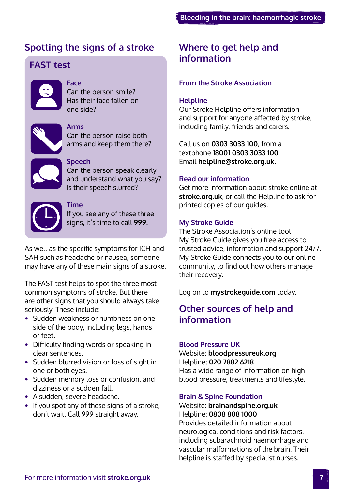### <span id="page-6-0"></span>**Spotting the signs of a stroke**

### **FAST test**



### **Face**

Can the person smile? Has their face fallen on one side?



### **Arms**

Can the person raise both arms and keep them there?

### **Speech**

Can the person speak clearly and understand what you say? Is their speech slurred?



### **Time**

If you see any of these three signs, it's time to call **999**.

As well as the specific symptoms for ICH and SAH such as headache or nausea, someone may have any of these main signs of a stroke.

The FAST test helps to spot the three most common symptoms of stroke. But there are other signs that you should always take seriously. These include:

- **•** Sudden weakness or numbness on one side of the body, including legs, hands or feet.
- **•** Difficulty finding words or speaking in clear sentences.
- **•** Sudden blurred vision or loss of sight in one or both eyes.
- **•** Sudden memory loss or confusion, and dizziness or a sudden fall.
- **•** A sudden, severe headache.
- **•** If you spot any of these signs of a stroke, don't wait. Call 999 straight away.

### **Where to get help and information**

### **From the Stroke Association**

### **Helpline**

Our Stroke Helpline offers information and support for anyone affected by stroke, including family, friends and carers.

Call us on **0303 3033 100**, from a textphone **18001 0303 3033 100** Email **helpline@stroke.org.uk**.

### **Read our information**

Get more information about stroke online at **stroke.org.uk**, or call the Helpline to ask for printed copies of our guides.

### **My Stroke Guide**

The Stroke Association's online tool My Stroke Guide gives you free access to trusted advice, information and support 24/7. My Stroke Guide connects you to our online community, to find out how others manage their recovery.

Log on to **mystrokeguide.com** today.

### **Other sources of help and information**

### **Blood Pressure UK**

Website: **[bloodpressureuk.org](https://www.bloodpressureuk.org/)** Helpline: **020 7882 6218**  Has a wide range of information on high blood pressure, treatments and lifestyle.

### **Brain & Spine Foundation**

### Website: **[brainandspine.org.uk](http://www.brainandspine.org.uk)**  Helpline: **0808 808 1000**

Provides detailed information about neurological conditions and risk factors, including subarachnoid haemorrhage and vascular malformations of the brain. Their helpline is staffed by specialist nurses.